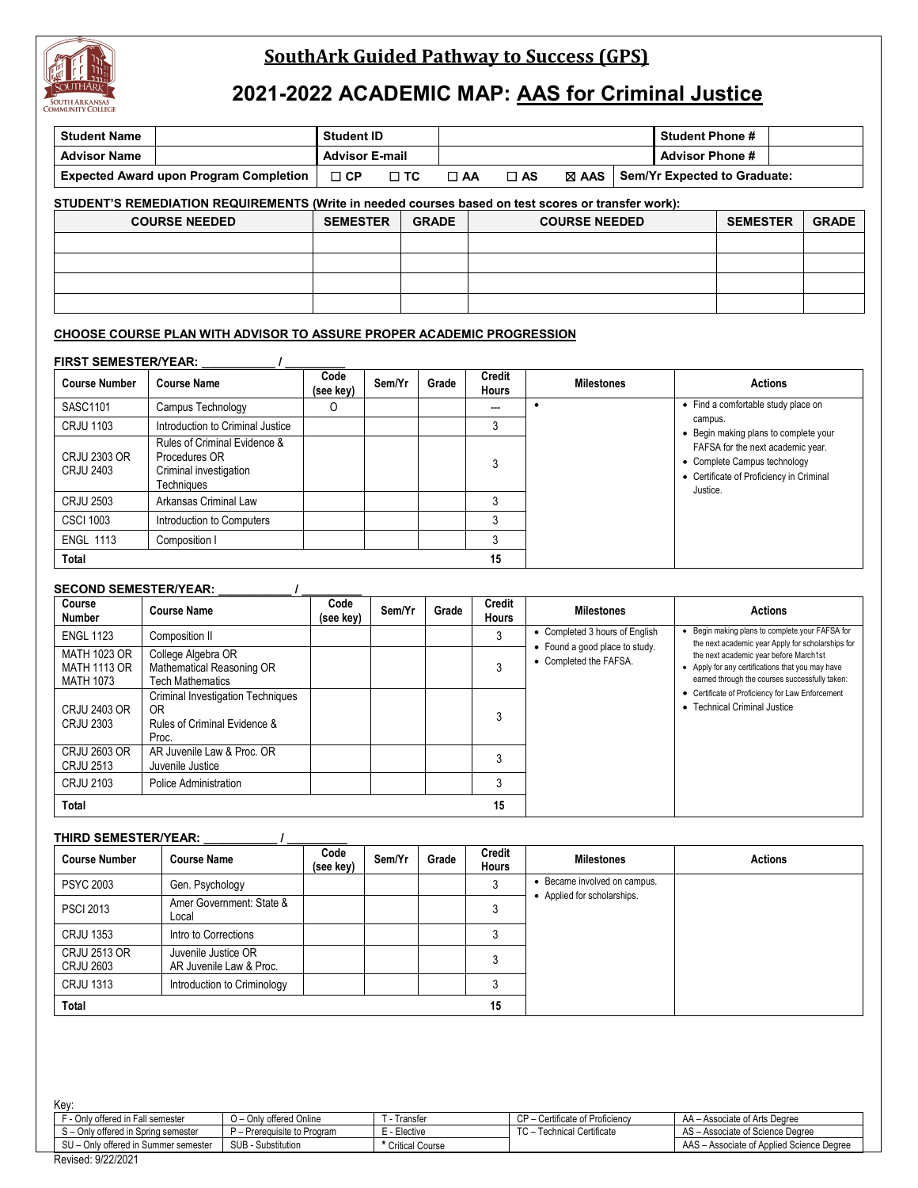

## **SouthArk Guided Pathway to Success (GPS)**

# **2021-2022 ACADEMIC MAP: AAS for Criminal Justice**

| <b>Student Name</b>                                                                                  |                                               | <b>Student ID</b> |                                 |       |                                                                    |                   |  | <b>Student Phone #</b> |                                     |              |
|------------------------------------------------------------------------------------------------------|-----------------------------------------------|-------------------|---------------------------------|-------|--------------------------------------------------------------------|-------------------|--|------------------------|-------------------------------------|--------------|
| <b>Advisor Name</b>                                                                                  |                                               |                   | <b>Advisor E-mail</b>           |       |                                                                    |                   |  | <b>Advisor Phone #</b> |                                     |              |
|                                                                                                      | <b>Expected Award upon Program Completion</b> | $\Box$ CP         | $\Box$ TC                       |       | Sem/Yr Expected to Graduate:<br>$\square$ AS<br>⊠ AAS<br>$\Box$ AA |                   |  |                        |                                     |              |
| STUDENT'S REMEDIATION REQUIREMENTS (Write in needed courses based on test scores or transfer work):  |                                               |                   |                                 |       |                                                                    |                   |  |                        |                                     |              |
|                                                                                                      | <b>COURSE NEEDED</b>                          |                   | <b>SEMESTER</b><br><b>GRADE</b> |       | <b>COURSE NEEDED</b>                                               |                   |  |                        | <b>SEMESTER</b>                     | <b>GRADE</b> |
|                                                                                                      |                                               |                   |                                 |       |                                                                    |                   |  |                        |                                     |              |
|                                                                                                      |                                               |                   |                                 |       |                                                                    |                   |  |                        |                                     |              |
|                                                                                                      |                                               |                   |                                 |       |                                                                    |                   |  |                        |                                     |              |
|                                                                                                      |                                               |                   |                                 |       |                                                                    |                   |  |                        |                                     |              |
| CHOOSE COURSE PLAN WITH ADVISOR TO ASSURE PROPER ACADEMIC PROGRESSION<br><b>FIRST SEMESTER/YEAR:</b> |                                               |                   |                                 |       |                                                                    |                   |  |                        |                                     |              |
| <b>Course Number</b>                                                                                 | <b>Course Name</b>                            | Code<br>(see key) | Sem/Yr                          | Grade | Credit<br><b>Hours</b>                                             | <b>Milestones</b> |  |                        | <b>Actions</b>                      |              |
| SASC1101                                                                                             | Campus Technology                             | O                 |                                 |       | $---$                                                              |                   |  |                        | • Find a comfortable study place on |              |

|                                         |                                                                                       | (see key) | <b>HOUIS</b> |                                                                                                                   |
|-----------------------------------------|---------------------------------------------------------------------------------------|-----------|--------------|-------------------------------------------------------------------------------------------------------------------|
| SASC1101                                | Campus Technology                                                                     | 0         |              |                                                                                                                   |
| <b>CRJU 1103</b>                        | Introduction to Criminal Justice                                                      |           |              |                                                                                                                   |
| <b>CRJU 2303 OR</b><br><b>CRJU 2403</b> | Rules of Criminal Evidence &<br>Procedures OR<br>Criminal investigation<br>Techniques |           | 3            | • Begin making plans to complete your<br>• Complete Campus technology<br>• Certificate of Proficiency in Criminal |
| <b>CRJU 2503</b>                        | Arkansas Criminal Law                                                                 |           |              |                                                                                                                   |
| <b>CSCI 1003</b>                        | Introduction to Computers                                                             |           |              |                                                                                                                   |
| <b>ENGL 1113</b>                        | Composition I                                                                         |           |              |                                                                                                                   |
| Total                                   |                                                                                       |           | 15           |                                                                                                                   |

#### **SECOND SEMESTER/YEAR: \_\_\_\_\_\_\_\_\_\_\_ / \_\_\_\_\_\_\_\_\_**

| Course<br><b>Number</b>                   | <b>Course Name</b>                                                                                  | Code<br>(see key) | Sem/Yr | Grade | Credit<br><b>Hours</b> | <b>Milestones</b>                                        | <b>Actions</b>                                                                                                                               |
|-------------------------------------------|-----------------------------------------------------------------------------------------------------|-------------------|--------|-------|------------------------|----------------------------------------------------------|----------------------------------------------------------------------------------------------------------------------------------------------|
| <b>ENGL 1123</b>                          | Composition II                                                                                      |                   |        |       | 3                      | • Completed 3 hours of English                           | • Begin making plans to complete your FAFSA for<br>the next academic year Apply for scholarships for                                         |
| MATH 1023 OR<br>MATH 1113 OR<br>MATH 1073 | College Algebra OR<br>Mathematical Reasoning OR<br><b>Tech Mathematics</b>                          |                   |        |       |                        | • Found a good place to study.<br>• Completed the FAFSA. | the next academic year before March1st<br>• Apply for any certifications that you may have<br>earned through the courses successfully taken: |
| CRJU 2403 OR<br>CRJU 2303                 | <b>Criminal Investigation Techniques</b><br>0 <sub>R</sub><br>Rules of Criminal Evidence &<br>Proc. |                   |        |       |                        |                                                          | • Certificate of Proficiency for Law Enforcement<br>• Technical Criminal Justice                                                             |
| CRJU 2603 OR<br><b>CRJU 2513</b>          | AR Juvenile Law & Proc. OR<br>Juvenile Justice                                                      |                   |        |       |                        |                                                          |                                                                                                                                              |
| CRJU 2103                                 | Police Administration                                                                               |                   |        |       | າ                      |                                                          |                                                                                                                                              |
| Total                                     |                                                                                                     |                   |        |       | 15                     |                                                          |                                                                                                                                              |

#### **THIRD SEMESTER/YEAR: \_\_\_\_\_\_\_\_\_\_\_ / \_\_\_\_\_\_\_\_\_**

| <b>Course Number</b>                    | <b>Course Name</b>                             | Code<br>(see key) | Sem/Yr | Grade | Credit<br><b>Hours</b> | <b>Milestones</b>            | <b>Actions</b> |
|-----------------------------------------|------------------------------------------------|-------------------|--------|-------|------------------------|------------------------------|----------------|
| <b>PSYC 2003</b>                        | Gen. Psychology                                |                   |        |       |                        | • Became involved on campus. |                |
| <b>PSCI 2013</b>                        | Amer Government: State &<br>Local              |                   |        |       |                        | Applied for scholarships.    |                |
| <b>CRJU 1353</b>                        | Intro to Corrections                           |                   |        |       |                        |                              |                |
| <b>CRJU 2513 OR</b><br><b>CRJU 2603</b> | Juvenile Justice OR<br>AR Juvenile Law & Proc. |                   |        |       |                        |                              |                |
| <b>CRJU 1313</b>                        | Introduction to Criminology                    |                   |        |       |                        |                              |                |
| Total                                   |                                                |                   |        |       | 15                     |                              |                |

| Kev:                                     |                           |                   |                                 |                                           |
|------------------------------------------|---------------------------|-------------------|---------------------------------|-------------------------------------------|
| F - Only offered in Fall semester        | O - Only offered Online   | . - Transfer      | CP - Certificate of Proficiency | AA - Associate of Arts Degree             |
| S - Only offered in Spring semester      | - Prerequisite to Program | E - Elective      | TC - Technical Certificate      | AS - Associate of Science Degree          |
| SU - Only offered in Summer semester     | SUB - Substitution        | * Critical Course |                                 | AAS - Associate of Applied Science Degree |
| 0.00000001<br>$\overline{\phantom{a}}$ . |                           |                   |                                 |                                           |